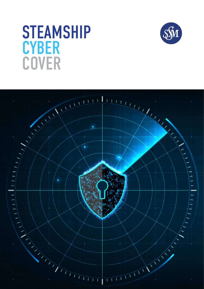# **STEAMSHIP CYBER** COVER



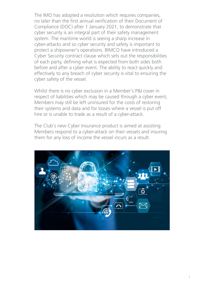The IMO has adopted a resolution which requires companies, no later than the first annual verification of their Document of Compliance (DOC) after 1 January 2021, to demonstrate that cyber security is an integral part of their safety management system. The maritime world is seeing a sharp increase in cyber‑attacks and so cyber security and safety is important to protect a shipowner's operations. BIMCO have introduced a Cyber Security contract clause which sets out the responsibilities of each party, defining what is expected from both sides both before and after a cyber event. The ability to react quickly and effectively to any breach of cyber security is vital to ensuring the cyber safety of the vessel.

Whilst there is no cyber exclusion in a Member's P&I cover in respect of liabilities which may be caused through a cyber event, Members may still be left uninsured for the costs of restoring their systems and data and for losses where a vessel is put off hire or is unable to trade as a result of a cyber-attack.

The Club's new Cyber Insurance product is aimed at assisting Members respond to a cyber-attack on their vessels and insuring them for any loss of income the vessel incurs as a result.

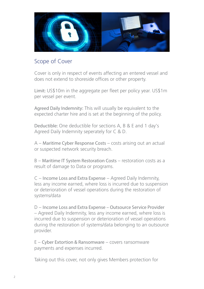

## Scope of Cover

Cover is only in respect of events affecting an entered vessel and does not extend to shoreside offices or other property.

Limit: US\$10m in the aggregate per fleet per policy year. US\$1m per vessel per event.

Agreed Daily Indemnity: This will usually be equivalent to the expected charter hire and is set at the beginning of the policy.

Deductible: One deductible for sections A, B & E and 1 day's Agreed Daily Indemnity seperately for C & D.

A – Maritime Cyber Response Costs – costs arising out an actual or suspected network security breach.

B – Maritime IT System Restoration Costs – restoration costs as a result of damage to Data or programs.

C – Income Loss and Extra Expense – Agreed Daily Indemnity, less any income earned, where loss is incurred due to suspension or deterioration of vessel operations during the restoration of systems/data

D – Income Loss and Extra Expense – Outsource Service Provider – Agreed Daily Indemnity, less any income earned, where loss is incurred due to suspension or deterioration of vessel operations during the restoration of systems/data belonging to an outsource provider.

E – Cyber Extortion & Ransomware – covers ransomware payments and expenses incurred.

Taking out this cover, not only gives Members protection for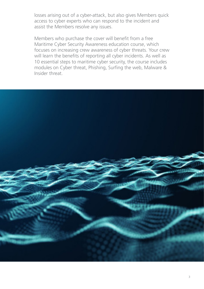losses arising out of a cyber-attack, but also gives Members quick access to cyber experts who can respond to the incident and assist the Members resolve any issues.

Members who purchase the cover will benefit from a free Maritime Cyber Security Awareness education course, which focuses on increasing crew awareness of cyber threats. Your crew will learn the benefits of reporting all cyber incidents. As well as 10 essential steps to maritime cyber security, the course includes modules on Cyber threat, Phishing, Surfing the web, Malware & Insider threat.

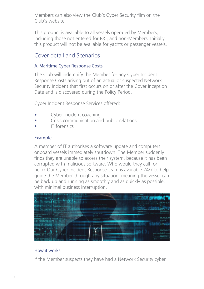Members can also view the Club's Cyber Security film on the Club's website.

This product is available to all vessels operated by Members, including those not entered for P&I, and non-Members. Initially this product will not be available for yachts or passenger vessels.

## Cover detail and Scenarios

## A. Maritime Cyber Response Costs

The Club will indemnify the Member for any Cyber Incident Response Costs arising out of an actual or suspected Network Security Incident that first occurs on or after the Cover Inception Date and is discovered during the Policy Period.

Cyber Incident Response Services offered:

- Cyber incident coaching
- Crisis communication and public relations
- IT forensics

## Example

A member of IT authorises a software update and computers onboard vessels immediately shutdown. The Member suddenly finds they are unable to access their system, because it has been corrupted with malicious software. Who would they call for help? Our Cyber Incident Response team is available 24/7 to help guide the Member through any situation, meaning the vessel can be back up and running as smoothly and as quickly as possible, with minimal business interruption.



## How it works:

If the Member suspects they have had a Network Security cyber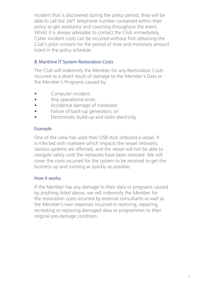incident that is discovered during the policy period, they will be able to call the 24/7 telephone number contained within their policy to get assistance and coaching throughout the event. Whilst it is always advisable to contact the Club immediately, Cyber incident costs can be incurred without first obtaining the Club's prior consent for the period of time and monetary amount listed in the policy schedule.

## B. Maritime IT System Restoration Costs

The Club will indemnify the Member for any Restoration Costs incurred as a direct result of damage to the Member's Data or the Member's Programs caused by:

- Computer incident:
- Any operational error;
- Accidental damage of hardware;
- Failure of back-up generators; or
- Electrostatic build-up and static electricity

### Example

One of the crew has used their USB stick onboard a vessel. It is infected with malware which impacts the vessel networks. Various systems are affected, and the vessel will not be able to navigate safely until the networks have been restored. We will cover the costs incurred for the system to be restored to get the business up and running as quickly as possible.

#### How it works:

If the Member has any damage to their data or programs caused by anything listed above, we will indemnify the Member for the restoration costs incurred by external consultants as well as the Member's own expenses incurred in restoring, repairing, recreating or replacing damaged data or programmes to their original pre-damage condition.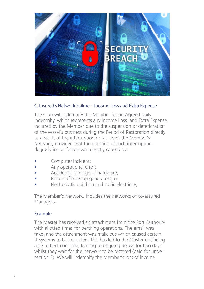

#### C. Insured's Network Failure – Income Loss and Extra Expense

The Club will indemnify the Member for an Agreed Daily Indemnity, which represents any Income Loss, and Extra Expense incurred by the Member due to the suspension or deterioration of the vessel's business during the Period of Restoration directly as a result of the interruption or failure of the Member's Network, provided that the duration of such interruption, degradation or failure was directly caused by:

- Computer incident:
- Any operational error;
- Accidental damage of hardware;
- Failure of back-up generators; or
- Electrostatic build-up and static electricity;

The Member's Network, includes the networks of co-assured Managers.

#### Example

The Master has received an attachment from the Port Authority with allotted times for berthing operations. The email was fake, and the attachment was malicious which caused certain IT systems to be impacted. This has led to the Master not being able to berth on time, leading to ongoing delays for two days whilst they wait for the network to be restored (paid for under section B). We will indemnify the Member's loss of income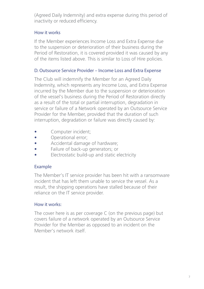(Agreed Daily Indemnity) and extra expense during this period of inactivity or reduced efficiency.

## How it works

If the Member experiences Income Loss and Extra Expense due to the suspension or deterioration of their business during the Period of Restoration, it is covered provided it was caused by any of the items listed above. This is similar to Loss of Hire policies.

## D. Outsource Service Provider – Income Loss and Extra Expense

The Club will indemnify the Member for an Agreed Daily Indemnity, which represents any Income Loss, and Extra Expense incurred by the Member due to the suspension or deterioration of the vessel's business during the Period of Restoration directly as a result of the total or partial interruption, degradation in service or failure of a Network operated by an Outsource Service Provider for the Member, provided that the duration of such interruption, degradation or failure was directly caused by:

- Computer incident;
- Operational error;
- Accidental damage of hardware;
- Failure of back-up generators; or
- Electrostatic build-up and static electricity

## Example

The Member's IT service provider has been hit with a ransomware incident that has left them unable to service the vessel. As a result, the shipping operations have stalled because of their reliance on the IT service provider.

## How it works:

The cover here is as per coverage C (on the previous page) but covers failure of a network operated by an Outsource Service Provider for the Member as opposed to an incident on the Member's network itself.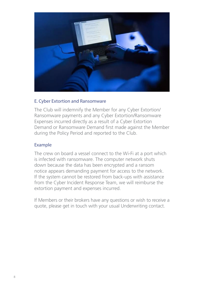

#### E. Cyber Extortion and Ransomware

The Club will indemnify the Member for any Cyber Extortion/ Ransomware payments and any Cyber Extortion/Ransomware Expenses incurred directly as a result of a Cyber Extortion Demand or Ransomware Demand first made against the Member during the Policy Period and reported to the Club.

#### Example

The crew on board a vessel connect to the Wi-Fi at a port which is infected with ransomware. The computer network shuts down because the data has been encrypted and a ransom notice appears demanding payment for access to the network. If the system cannot be restored from back-ups with assistance from the Cyber Incident Response Team, we will reimburse the extortion payment and expenses incurred.

If Members or their brokers have any questions or wish to receive a quote, please get in touch with your usual Underwriting contact.